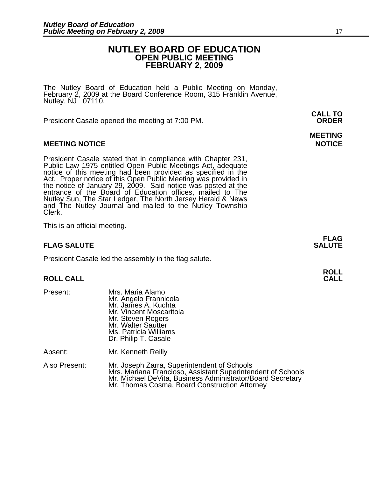#### **NUTLEY BOARD OF EDUCATION OPEN PUBLIC MEETING FEBRUARY 2, 2009**

The Nutley Board of Education held a Public Meeting on Monday, February 2, 2009 at the Board Conference Room, 315 Franklin Avenue, Nutley, NJ 07110.

President Casale opened the meeting at 7:00 PM. **ORDER**

#### **MEETING NOTICE NOTICE REPORTS AND ALCOHOL**

President Casale stated that in compliance with Chapter 231,<br>Public Law 1975 entitled Open Public Meetings Act, adequate<br>notice of this meeting had been provided as specified in the<br>Act. Proper notice of this Open Public M the notice of January 29, 2009. Said notice was posted at the<br>entrance of the Board of Education offices, mailed to The entrance of the Board of Education offices, mailed to The<br>Nutley Sun, The Star Ledger, The North Jersey Herald & News<br>and The Nutley Journal and mailed to the Nutley Township<br>Clerk.

This is an official meeting.

#### **FLAG SALUTE** SALUTE SALUTE SALUTE SALUTE SALUTE

President Casale led the assembly in the flag salute.

# **ROLL ROLL CALL CALL**

- Present: Mrs. Maria Alamo Mr. Angelo Frannicola Mr. James A. Kuchta Mr. Vincent Moscaritola Mr. Steven Rogers Mr. Walter Sautter Ms. Patricia Williams Dr. Philip T. Casale Absent: Mr. Kenneth Reilly
- Also Present: Mr. Joseph Zarra, Superintendent of Schools Mrs. Mariana Francioso, Assistant Superintendent of Schools<br>Mr. Michael DeVita, Business Administrator/Board Secretary<br>Mr. Thomas Cosma, Board Construction Attorney

**MEETING** 

**FLAG** 

**CALL TO**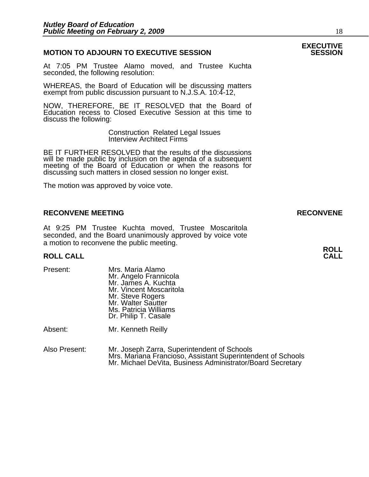#### **MOTION TO ADJOURN TO EXECUTIVE SESSION**

At 7:05 PM Trustee Alamo moved, and Trustee Kuchta seconded, the following resolution:

WHEREAS, the Board of Education will be discussing matters exempt from public discussion pursuant to N.J.S.A. 10:4-12,

NOW, THEREFORE, BE IT RESOLVED that the Board of Education recess to Closed Executive Session at this time to discuss the following:

> Construction Related Legal Issues Interview Architect Firms

BE IT FURTHER RESOLVED that the results of the discussions will be made public by inclusion on the agenda of a subsequent meeting of the Board of Education or when the reasons for discussing such matters in closed session no longer exist.

The motion was approved by voice vote.

#### **RECONVENE MEETING RECONVENE**

At 9:25 PM Trustee Kuchta moved, Trustee Moscaritola seconded, and the Board unanimously approved by voice vote a motion to reconvene the public meeting.

## **ROLL ROLL CALL CALL**

| Present: | Mrs. Maria Alamo<br>Mr. Angelo Frannicola<br>Mr. James A. Kuchta<br>Mr. Vincent Moscaritola<br>Mr. Steve Rogers<br>Mr. Walter Sautter<br>Ms. Patricia Williams<br>Dr. Philip T. Casale |
|----------|----------------------------------------------------------------------------------------------------------------------------------------------------------------------------------------|
| Absent:  | Mr. Kenneth Reilly                                                                                                                                                                     |

Also Present: Mr. Joseph Zarra, Superintendent of Schools Mrs. Mariana Francioso, Assistant Superintendent of Schools<br>Mr. Michael DeVita, Business Administrator/Board Secretary

# **EXECUTIVE**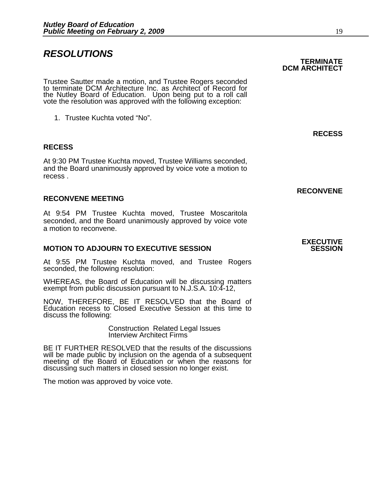### *RESOLUTIONS*

Trustee Sautter made a motion, and Trustee Rogers seconded to terminate DCM Architecture Inc. as Architect of Record for the Nutley Board of Education. Upon being put to a roll call the Nutley Board of Education. Upon being put to a roll call vote the resolution was approved with the following exception:

1. Trustee Kuchta voted "No".

#### **RECESS**

At 9:30 PM Trustee Kuchta moved, Trustee Williams seconded, and the Board unanimously approved by voice vote a motion to recess .

#### **RECONVENE MEETING**

At 9:54 PM Trustee Kuchta moved, Trustee Moscaritola seconded, and the Board unanimously approved by voice vote a motion to reconvene.

#### **MOTION TO ADJOURN TO EXECUTIVE SESSION**

At 9:55 PM Trustee Kuchta moved, and Trustee Rogers seconded, the following resolution:

WHEREAS, the Board of Education will be discussing matters exempt from public discussion pursuant to N.J.S.A. 10:4-12,

NOW, THEREFORE, BE IT RESOLVED that the Board of Education recess to Closed Executive Session at this time to discuss the following:

> Construction Related Legal Issues Interview Architect Firms

 BE IT FURTHER RESOLVED that the results of the discussions will be made public by inclusion on the agenda of a subsequent meeting of the Board of Education or when the reasons for discussing such matters in closed session no longer exist.

The motion was approved by voice vote.

# **EXECUTIVE**

 **RECONVENE** 

#### **TERMINATE DCM ARCHITECT**

**RECESS**